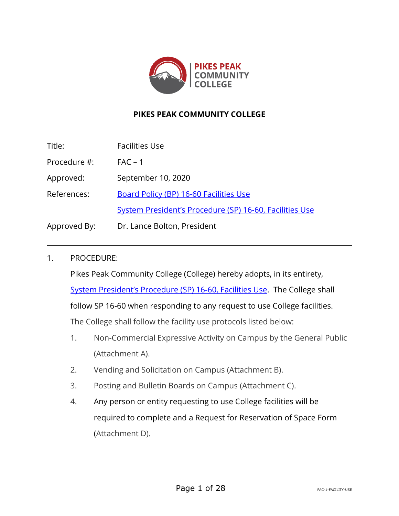

# **PIKES PEAK COMMUNITY COLLEGE**

| Title:       | <b>Facilities Use</b>                                   |
|--------------|---------------------------------------------------------|
| Procedure #: | $FAC - 1$                                               |
| Approved:    | September 10, 2020                                      |
| References:  | Board Policy (BP) 16-60 Facilities Use                  |
|              | System President's Procedure (SP) 16-60, Facilities Use |
| Approved By: | Dr. Lance Bolton, President                             |

#### 1. PROCEDURE:

Pikes Peak Community College (College) hereby adopts, in its entirety, [System President's Procedure \(SP\) 16](https://www.cccs.edu/policies-and-procedures/system-presidents-procedures/sp-16-60-facilities-use/)-60, Facilities Use. The College shall follow SP 16-60 when responding to any request to use College facilities. The College shall follow the facility use protocols listed below:

- 1. Non-Commercial Expressive Activity on Campus by the General Public (Attachment A).
- 2. Vending and Solicitation on Campus (Attachment B).
- 3. Posting and Bulletin Boards on Campus (Attachment C).
- 4. Any person or entity requesting to use College facilities will be required to complete and a Request for Reservation of Space Form (Attachment D).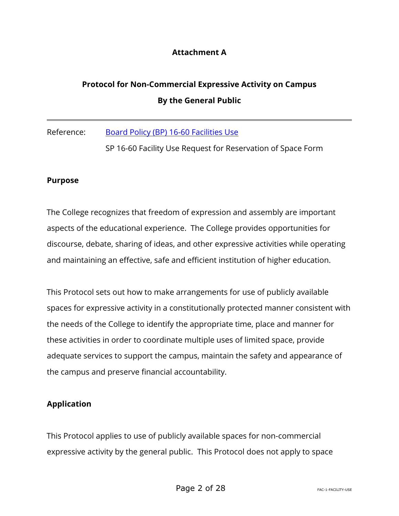# **Attachment A**

# **Protocol for Non-Commercial Expressive Activity on Campus By the General Public**

Reference: [Board Policy \(BP\) 16-60 Facilities Use](https://www.cccs.edu/policies-and-procedures/board-policies/bp-16-60-facilities-use/)

SP 16-60 Facility Use Request for Reservation of Space Form

#### **Purpose**

The College recognizes that freedom of expression and assembly are important aspects of the educational experience. The College provides opportunities for discourse, debate, sharing of ideas, and other expressive activities while operating and maintaining an effective, safe and efficient institution of higher education.

This Protocol sets out how to make arrangements for use of publicly available spaces for expressive activity in a constitutionally protected manner consistent with the needs of the College to identify the appropriate time, place and manner for these activities in order to coordinate multiple uses of limited space, provide adequate services to support the campus, maintain the safety and appearance of the campus and preserve financial accountability.

#### **Application**

This Protocol applies to use of publicly available spaces for non-commercial expressive activity by the general public. This Protocol does not apply to space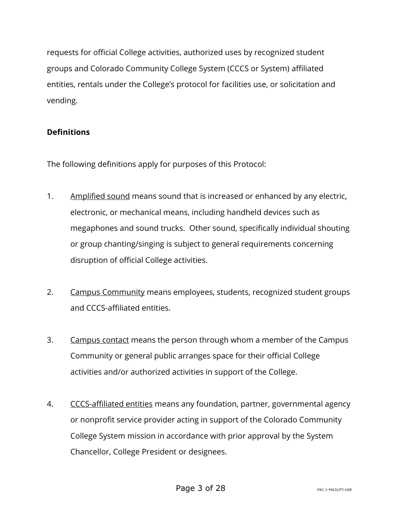requests for official College activities, authorized uses by recognized student groups and Colorado Community College System (CCCS or System) affiliated entities, rentals under the College's protocol for facilities use, or solicitation and vending.

# **Definitions**

The following definitions apply for purposes of this Protocol:

- 1. Amplified sound means sound that is increased or enhanced by any electric, electronic, or mechanical means, including handheld devices such as megaphones and sound trucks. Other sound, specifically individual shouting or group chanting/singing is subject to general requirements concerning disruption of official College activities.
- 2. Campus Community means employees, students, recognized student groups and CCCS-affiliated entities.
- 3. Campus contact means the person through whom a member of the Campus Community or general public arranges space for their official College activities and/or authorized activities in support of the College.
- 4. CCCS-affiliated entities means any foundation, partner, governmental agency or nonprofit service provider acting in support of the Colorado Community College System mission in accordance with prior approval by the System Chancellor, College President or designees.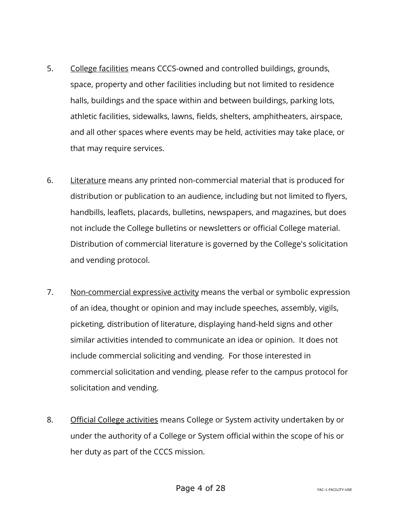- 5. College facilities means CCCS-owned and controlled buildings, grounds, space, property and other facilities including but not limited to residence halls, buildings and the space within and between buildings, parking lots, athletic facilities, sidewalks, lawns, fields, shelters, amphitheaters, airspace, and all other spaces where events may be held, activities may take place, or that may require services.
- 6. Literature means any printed non-commercial material that is produced for distribution or publication to an audience, including but not limited to flyers, handbills, leaflets, placards, bulletins, newspapers, and magazines, but does not include the College bulletins or newsletters or official College material. Distribution of commercial literature is governed by the College's solicitation and vending protocol.
- 7. Non-commercial expressive activity means the verbal or symbolic expression of an idea, thought or opinion and may include speeches, assembly, vigils, picketing, distribution of literature, displaying hand-held signs and other similar activities intended to communicate an idea or opinion. It does not include commercial soliciting and vending. For those interested in commercial solicitation and vending, please refer to the campus protocol for solicitation and vending.
- 8. Official College activities means College or System activity undertaken by or under the authority of a College or System official within the scope of his or her duty as part of the CCCS mission.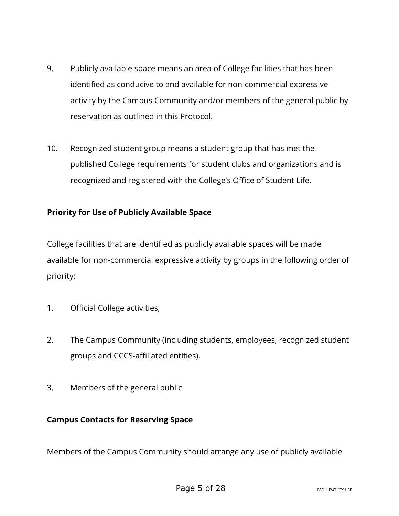- 9. Publicly available space means an area of College facilities that has been identified as conducive to and available for non-commercial expressive activity by the Campus Community and/or members of the general public by reservation as outlined in this Protocol.
- 10. Recognized student group means a student group that has met the published College requirements for student clubs and organizations and is recognized and registered with the College's Office of Student Life.

# **Priority for Use of Publicly Available Space**

College facilities that are identified as publicly available spaces will be made available for non-commercial expressive activity by groups in the following order of priority:

- 1. Official College activities,
- 2. The Campus Community (including students, employees, recognized student groups and CCCS-affiliated entities),
- 3. Members of the general public.

# **Campus Contacts for Reserving Space**

Members of the Campus Community should arrange any use of publicly available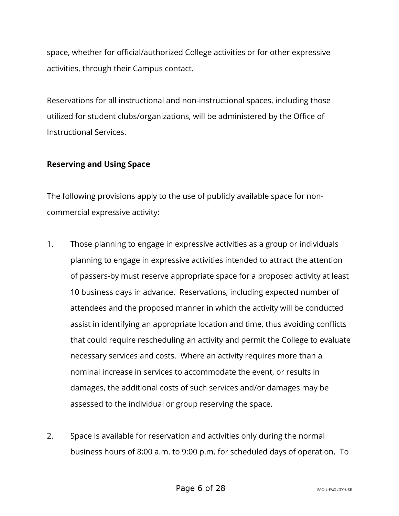space, whether for official/authorized College activities or for other expressive activities, through their Campus contact.

Reservations for all instructional and non-instructional spaces, including those utilized for student clubs/organizations, will be administered by the Office of Instructional Services.

# **Reserving and Using Space**

The following provisions apply to the use of publicly available space for noncommercial expressive activity:

- 1. Those planning to engage in expressive activities as a group or individuals planning to engage in expressive activities intended to attract the attention of passers-by must reserve appropriate space for a proposed activity at least 10 business days in advance. Reservations, including expected number of attendees and the proposed manner in which the activity will be conducted assist in identifying an appropriate location and time, thus avoiding conflicts that could require rescheduling an activity and permit the College to evaluate necessary services and costs. Where an activity requires more than a nominal increase in services to accommodate the event, or results in damages, the additional costs of such services and/or damages may be assessed to the individual or group reserving the space.
- 2. Space is available for reservation and activities only during the normal business hours of 8:00 a.m. to 9:00 p.m. for scheduled days of operation. To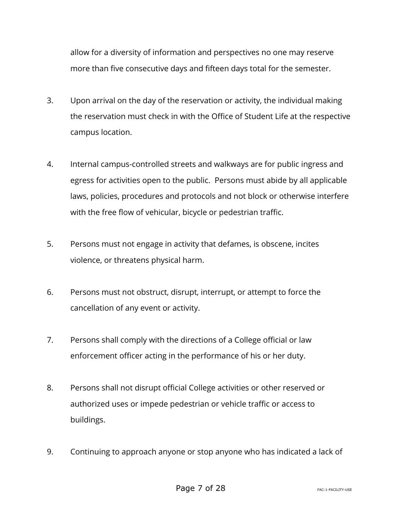allow for a diversity of information and perspectives no one may reserve more than five consecutive days and fifteen days total for the semester.

- 3. Upon arrival on the day of the reservation or activity, the individual making the reservation must check in with the Office of Student Life at the respective campus location.
- 4. Internal campus-controlled streets and walkways are for public ingress and egress for activities open to the public. Persons must abide by all applicable laws, policies, procedures and protocols and not block or otherwise interfere with the free flow of vehicular, bicycle or pedestrian traffic.
- 5. Persons must not engage in activity that defames, is obscene, incites violence, or threatens physical harm.
- 6. Persons must not obstruct, disrupt, interrupt, or attempt to force the cancellation of any event or activity.
- 7. Persons shall comply with the directions of a College official or law enforcement officer acting in the performance of his or her duty.
- 8. Persons shall not disrupt official College activities or other reserved or authorized uses or impede pedestrian or vehicle traffic or access to buildings.
- 9. Continuing to approach anyone or stop anyone who has indicated a lack of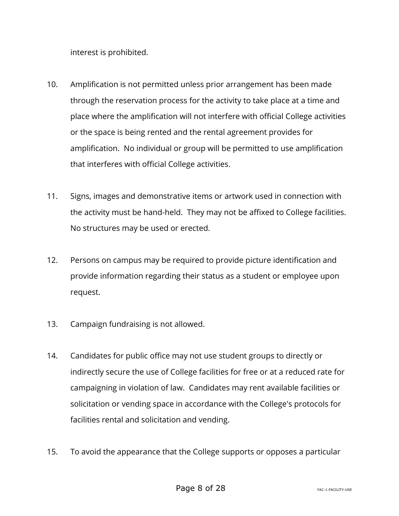interest is prohibited.

- 10. Amplification is not permitted unless prior arrangement has been made through the reservation process for the activity to take place at a time and place where the amplification will not interfere with official College activities or the space is being rented and the rental agreement provides for amplification. No individual or group will be permitted to use amplification that interferes with official College activities.
- 11. Signs, images and demonstrative items or artwork used in connection with the activity must be hand-held. They may not be affixed to College facilities. No structures may be used or erected.
- 12. Persons on campus may be required to provide picture identification and provide information regarding their status as a student or employee upon request.
- 13. Campaign fundraising is not allowed.
- 14. Candidates for public office may not use student groups to directly or indirectly secure the use of College facilities for free or at a reduced rate for campaigning in violation of law. Candidates may rent available facilities or solicitation or vending space in accordance with the College's protocols for facilities rental and solicitation and vending.
- 15. To avoid the appearance that the College supports or opposes a particular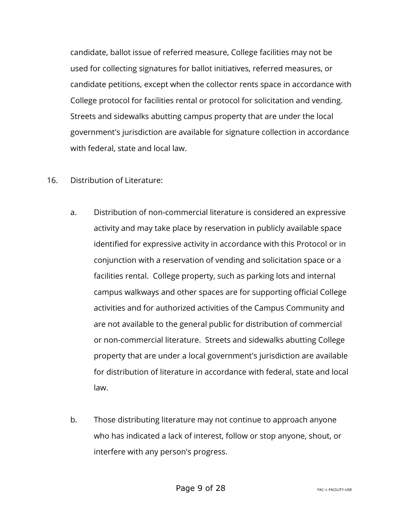candidate, ballot issue of referred measure, College facilities may not be used for collecting signatures for ballot initiatives, referred measures, or candidate petitions, except when the collector rents space in accordance with College protocol for facilities rental or protocol for solicitation and vending. Streets and sidewalks abutting campus property that are under the local government's jurisdiction are available for signature collection in accordance with federal, state and local law.

#### 16. Distribution of Literature:

- a. Distribution of non-commercial literature is considered an expressive activity and may take place by reservation in publicly available space identified for expressive activity in accordance with this Protocol or in conjunction with a reservation of vending and solicitation space or a facilities rental. College property, such as parking lots and internal campus walkways and other spaces are for supporting official College activities and for authorized activities of the Campus Community and are not available to the general public for distribution of commercial or non-commercial literature. Streets and sidewalks abutting College property that are under a local government's jurisdiction are available for distribution of literature in accordance with federal, state and local law.
- b. Those distributing literature may not continue to approach anyone who has indicated a lack of interest, follow or stop anyone, shout, or interfere with any person's progress.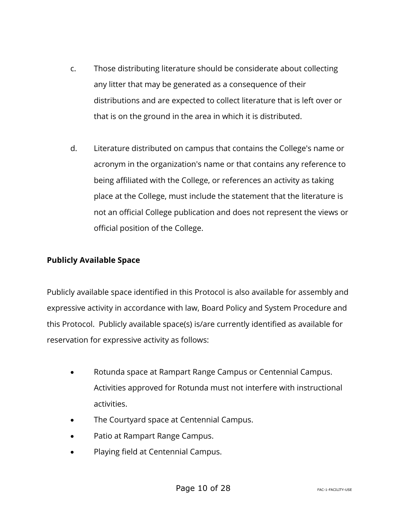- c. Those distributing literature should be considerate about collecting any litter that may be generated as a consequence of their distributions and are expected to collect literature that is left over or that is on the ground in the area in which it is distributed.
- d. Literature distributed on campus that contains the College's name or acronym in the organization's name or that contains any reference to being affiliated with the College, or references an activity as taking place at the College, must include the statement that the literature is not an official College publication and does not represent the views or official position of the College.

# **Publicly Available Space**

Publicly available space identified in this Protocol is also available for assembly and expressive activity in accordance with law, Board Policy and System Procedure and this Protocol. Publicly available space(s) is/are currently identified as available for reservation for expressive activity as follows:

- Rotunda space at Rampart Range Campus or Centennial Campus. Activities approved for Rotunda must not interfere with instructional activities.
- The Courtyard space at Centennial Campus.
- Patio at Rampart Range Campus.
- Playing field at Centennial Campus.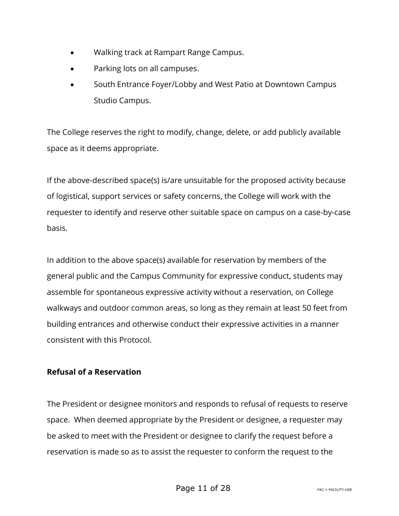- Walking track at Rampart Range Campus.
- Parking lots on all campuses.
- South Entrance Foyer/Lobby and West Patio at Downtown Campus Studio Campus.

The College reserves the right to modify, change, delete, or add publicly available space as it deems appropriate.

If the above-described space(s) is/are unsuitable for the proposed activity because of logistical, support services or safety concerns, the College will work with the requester to identify and reserve other suitable space on campus on a case-by-case basis.

In addition to the above space(s) available for reservation by members of the general public and the Campus Community for expressive conduct, students may assemble for spontaneous expressive activity without a reservation, on College walkways and outdoor common areas, so long as they remain at least 50 feet from building entrances and otherwise conduct their expressive activities in a manner consistent with this Protocol.

# **Refusal of a Reservation**

The President or designee monitors and responds to refusal of requests to reserve space. When deemed appropriate by the President or designee, a requester may be asked to meet with the President or designee to clarify the request before a reservation is made so as to assist the requester to conform the request to the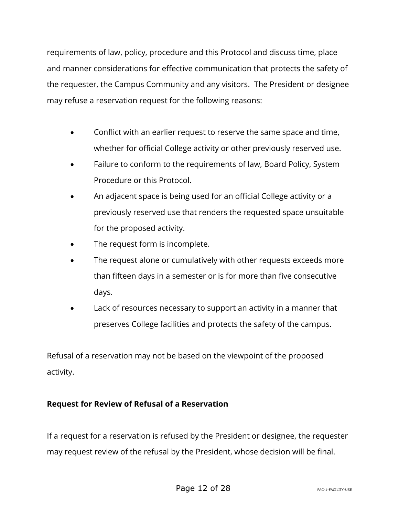requirements of law, policy, procedure and this Protocol and discuss time, place and manner considerations for effective communication that protects the safety of the requester, the Campus Community and any visitors. The President or designee may refuse a reservation request for the following reasons:

- Conflict with an earlier request to reserve the same space and time, whether for official College activity or other previously reserved use.
- Failure to conform to the requirements of law, Board Policy, System Procedure or this Protocol.
- An adjacent space is being used for an official College activity or a previously reserved use that renders the requested space unsuitable for the proposed activity.
- The request form is incomplete.
- The request alone or cumulatively with other requests exceeds more than fifteen days in a semester or is for more than five consecutive days.
- Lack of resources necessary to support an activity in a manner that preserves College facilities and protects the safety of the campus.

Refusal of a reservation may not be based on the viewpoint of the proposed activity.

# **Request for Review of Refusal of a Reservation**

If a request for a reservation is refused by the President or designee, the requester may request review of the refusal by the President, whose decision will be final.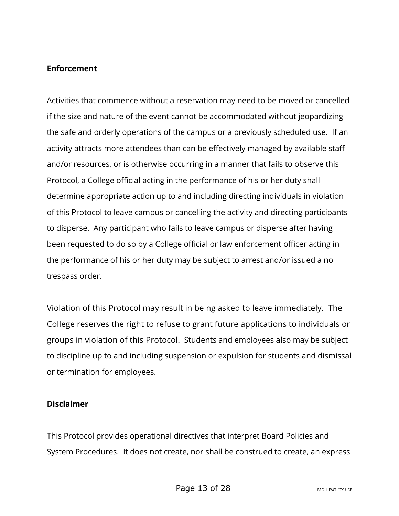#### **Enforcement**

Activities that commence without a reservation may need to be moved or cancelled if the size and nature of the event cannot be accommodated without jeopardizing the safe and orderly operations of the campus or a previously scheduled use. If an activity attracts more attendees than can be effectively managed by available staff and/or resources, or is otherwise occurring in a manner that fails to observe this Protocol, a College official acting in the performance of his or her duty shall determine appropriate action up to and including directing individuals in violation of this Protocol to leave campus or cancelling the activity and directing participants to disperse. Any participant who fails to leave campus or disperse after having been requested to do so by a College official or law enforcement officer acting in the performance of his or her duty may be subject to arrest and/or issued a no trespass order.

Violation of this Protocol may result in being asked to leave immediately. The College reserves the right to refuse to grant future applications to individuals or groups in violation of this Protocol. Students and employees also may be subject to discipline up to and including suspension or expulsion for students and dismissal or termination for employees.

#### **Disclaimer**

This Protocol provides operational directives that interpret Board Policies and System Procedures. It does not create, nor shall be construed to create, an express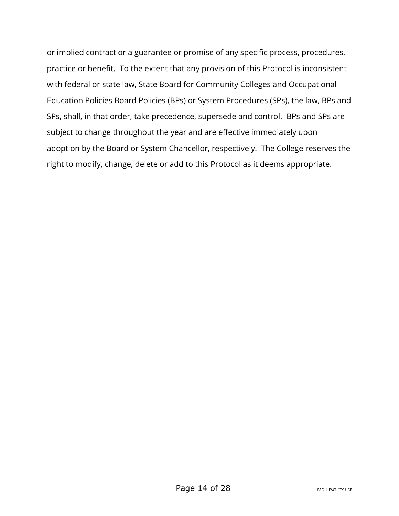or implied contract or a guarantee or promise of any specific process, procedures, practice or benefit. To the extent that any provision of this Protocol is inconsistent with federal or state law, State Board for Community Colleges and Occupational Education Policies Board Policies (BPs) or System Procedures (SPs), the law, BPs and SPs, shall, in that order, take precedence, supersede and control. BPs and SPs are subject to change throughout the year and are effective immediately upon adoption by the Board or System Chancellor, respectively. The College reserves the right to modify, change, delete or add to this Protocol as it deems appropriate.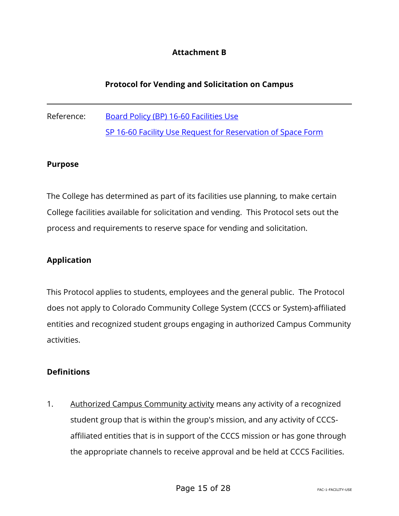# **Attachment B**

# **Protocol for Vending and Solicitation on Campus**

Reference: [Board Policy \(BP\) 16-60 Facilities Use](https://www.cccs.edu/policies-and-procedures/board-policies/bp-16-60-facilities-use/) SP 16-60 Facility Use Request for Reservation of Space Form

#### **Purpose**

The College has determined as part of its facilities use planning, to make certain College facilities available for solicitation and vending. This Protocol sets out the process and requirements to reserve space for vending and solicitation.

#### **Application**

This Protocol applies to students, employees and the general public. The Protocol does not apply to Colorado Community College System (CCCS or System)-affiliated entities and recognized student groups engaging in authorized Campus Community activities.

#### **Definitions**

1. Authorized Campus Community activity means any activity of a recognized student group that is within the group's mission, and any activity of CCCSaffiliated entities that is in support of the CCCS mission or has gone through the appropriate channels to receive approval and be held at CCCS Facilities.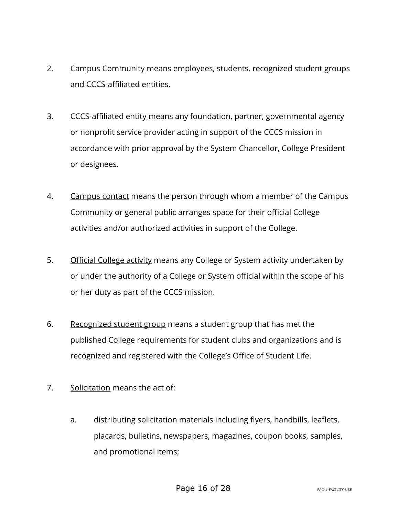- 2. Campus Community means employees, students, recognized student groups and CCCS-affiliated entities.
- 3. CCCS-affiliated entity means any foundation, partner, governmental agency or nonprofit service provider acting in support of the CCCS mission in accordance with prior approval by the System Chancellor, College President or designees.
- 4. Campus contact means the person through whom a member of the Campus Community or general public arranges space for their official College activities and/or authorized activities in support of the College.
- 5. Official College activity means any College or System activity undertaken by or under the authority of a College or System official within the scope of his or her duty as part of the CCCS mission.
- 6. Recognized student group means a student group that has met the published College requirements for student clubs and organizations and is recognized and registered with the College's Office of Student Life.
- 7. Solicitation means the act of:
	- a. distributing solicitation materials including flyers, handbills, leaflets, placards, bulletins, newspapers, magazines, coupon books, samples, and promotional items;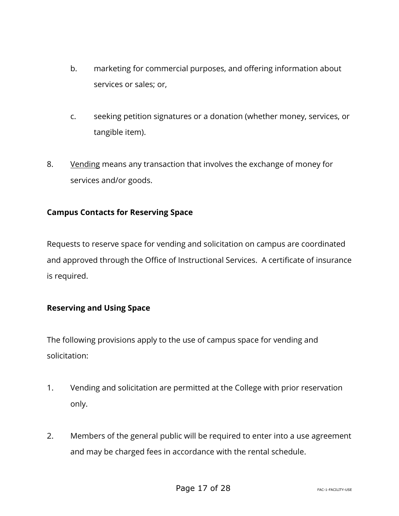- b. marketing for commercial purposes, and offering information about services or sales; or,
- c. seeking petition signatures or a donation (whether money, services, or tangible item).
- 8. Vending means any transaction that involves the exchange of money for services and/or goods.

# **Campus Contacts for Reserving Space**

Requests to reserve space for vending and solicitation on campus are coordinated and approved through the Office of Instructional Services. A certificate of insurance is required.

# **Reserving and Using Space**

The following provisions apply to the use of campus space for vending and solicitation:

- 1. Vending and solicitation are permitted at the College with prior reservation only.
- 2. Members of the general public will be required to enter into a use agreement and may be charged fees in accordance with the rental schedule.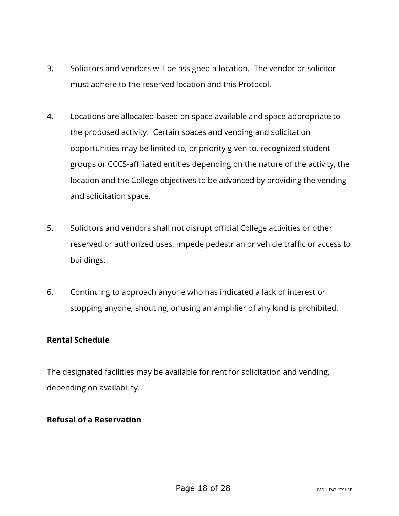- 3. Solicitors and vendors will be assigned a location. The vendor or solicitor must adhere to the reserved location and this Protocol.
- 4. Locations are allocated based on space available and space appropriate to the proposed activity. Certain spaces and vending and solicitation opportunities may be limited to, or priority given to, recognized student groups or CCCS-affiliated entities depending on the nature of the activity, the location and the College objectives to be advanced by providing the vending and solicitation space.
- 5. Solicitors and vendors shall not disrupt official College activities or other reserved or authorized uses, impede pedestrian or vehicle traffic or access to buildings.
- 6. Continuing to approach anyone who has indicated a lack of interest or stopping anyone, shouting, or using an amplifier of any kind is prohibited.

# **Rental Schedule**

The designated facilities may be available for rent for solicitation and vending, depending on availability.

#### **Refusal of a Reservation**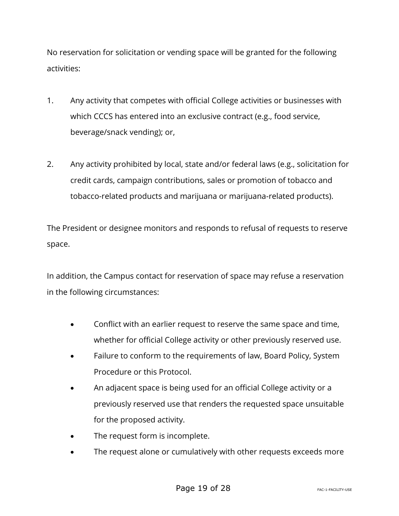No reservation for solicitation or vending space will be granted for the following activities:

- 1. Any activity that competes with official College activities or businesses with which CCCS has entered into an exclusive contract (e.g., food service, beverage/snack vending); or,
- 2. Any activity prohibited by local, state and/or federal laws (e.g., solicitation for credit cards, campaign contributions, sales or promotion of tobacco and tobacco-related products and marijuana or marijuana-related products).

The President or designee monitors and responds to refusal of requests to reserve space.

In addition, the Campus contact for reservation of space may refuse a reservation in the following circumstances:

- Conflict with an earlier request to reserve the same space and time, whether for official College activity or other previously reserved use.
- Failure to conform to the requirements of law, Board Policy, System Procedure or this Protocol.
- An adjacent space is being used for an official College activity or a previously reserved use that renders the requested space unsuitable for the proposed activity.
- The request form is incomplete.
- The request alone or cumulatively with other requests exceeds more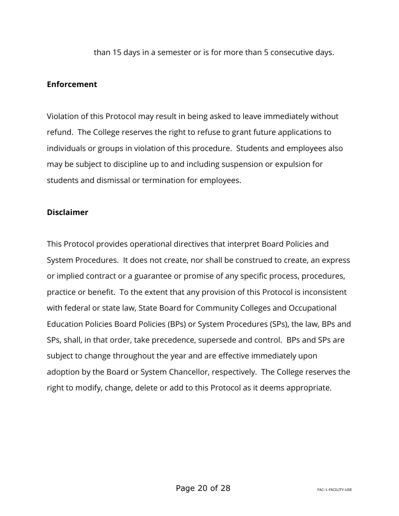than 15 days in a semester or is for more than 5 consecutive days.

### **Enforcement**

Violation of this Protocol may result in being asked to leave immediately without refund. The College reserves the right to refuse to grant future applications to individuals or groups in violation of this procedure. Students and employees also may be subject to discipline up to and including suspension or expulsion for students and dismissal or termination for employees.

#### **Disclaimer**

This Protocol provides operational directives that interpret Board Policies and System Procedures. It does not create, nor shall be construed to create, an express or implied contract or a guarantee or promise of any specific process, procedures, practice or benefit. To the extent that any provision of this Protocol is inconsistent with federal or state law, State Board for Community Colleges and Occupational Education Policies Board Policies (BPs) or System Procedures (SPs), the law, BPs and SPs, shall, in that order, take precedence, supersede and control. BPs and SPs are subject to change throughout the year and are effective immediately upon adoption by the Board or System Chancellor, respectively. The College reserves the right to modify, change, delete or add to this Protocol as it deems appropriate.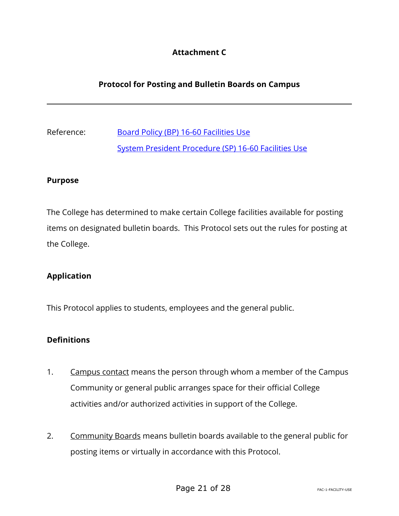# **Attachment C**

# **Protocol for Posting and Bulletin Boards on Campus**

Reference: [Board Policy \(BP\) 16-60 Facilities Use](https://www.cccs.edu/policies-and-procedures/board-policies/bp-16-60-facilities-use/) [System President Procedure \(SP\) 16-60 Facilities Use](https://www.cccs.edu/policies-and-procedures/system-presidents-procedures/sp-16-60-facilities-use/#_ftnref1)

#### **Purpose**

The College has determined to make certain College facilities available for posting items on designated bulletin boards. This Protocol sets out the rules for posting at the College.

#### **Application**

This Protocol applies to students, employees and the general public.

#### **Definitions**

- 1. Campus contact means the person through whom a member of the Campus Community or general public arranges space for their official College activities and/or authorized activities in support of the College.
- 2. Community Boards means bulletin boards available to the general public for posting items or virtually in accordance with this Protocol.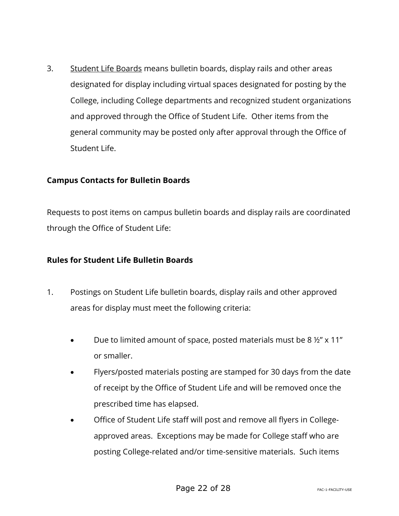3. Student Life Boards means bulletin boards, display rails and other areas designated for display including virtual spaces designated for posting by the College, including College departments and recognized student organizations and approved through the Office of Student Life. Other items from the general community may be posted only after approval through the Office of Student Life.

### **Campus Contacts for Bulletin Boards**

Requests to post items on campus bulletin boards and display rails are coordinated through the Office of Student Life:

### **Rules for Student Life Bulletin Boards**

- 1. Postings on Student Life bulletin boards, display rails and other approved areas for display must meet the following criteria:
	- Due to limited amount of space, posted materials must be 8 ½" x 11" or smaller.
	- Flyers/posted materials posting are stamped for 30 days from the date of receipt by the Office of Student Life and will be removed once the prescribed time has elapsed.
	- Office of Student Life staff will post and remove all flyers in Collegeapproved areas. Exceptions may be made for College staff who are posting College-related and/or time-sensitive materials. Such items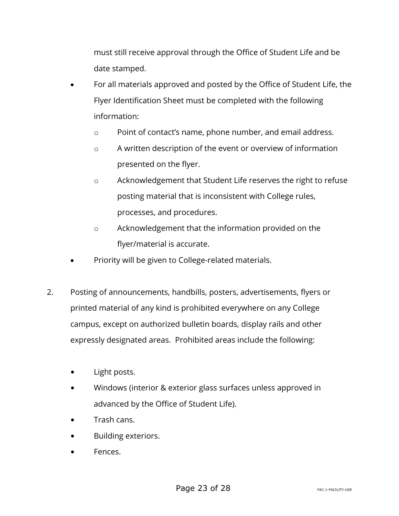must still receive approval through the Office of Student Life and be date stamped.

- For all materials approved and posted by the Office of Student Life, the Flyer Identification Sheet must be completed with the following information:
	- o Point of contact's name, phone number, and email address.
	- o A written description of the event or overview of information presented on the flyer.
	- o Acknowledgement that Student Life reserves the right to refuse posting material that is inconsistent with College rules, processes, and procedures.
	- o Acknowledgement that the information provided on the flyer/material is accurate.
- Priority will be given to College-related materials.
- 2. Posting of announcements, handbills, posters, advertisements, flyers or printed material of any kind is prohibited everywhere on any College campus, except on authorized bulletin boards, display rails and other expressly designated areas. Prohibited areas include the following:
	- Light posts.
	- Windows (interior & exterior glass surfaces unless approved in advanced by the Office of Student Life).
	- Trash cans.
	- Building exteriors.
	- Fences.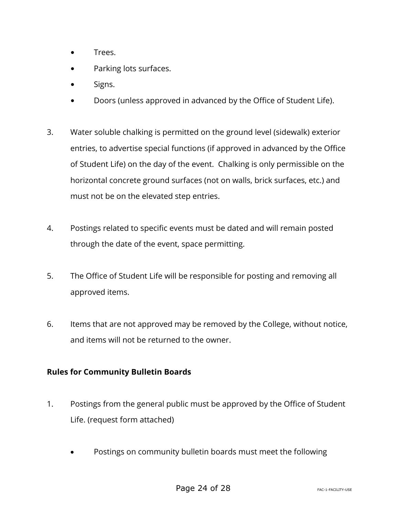- Trees.
- Parking lots surfaces.
- Signs.
- Doors (unless approved in advanced by the Office of Student Life).
- 3. Water soluble chalking is permitted on the ground level (sidewalk) exterior entries, to advertise special functions (if approved in advanced by the Office of Student Life) on the day of the event. Chalking is only permissible on the horizontal concrete ground surfaces (not on walls, brick surfaces, etc.) and must not be on the elevated step entries.
- 4. Postings related to specific events must be dated and will remain posted through the date of the event, space permitting.
- 5. The Office of Student Life will be responsible for posting and removing all approved items.
- 6. Items that are not approved may be removed by the College, without notice, and items will not be returned to the owner.

# **Rules for Community Bulletin Boards**

- 1. Postings from the general public must be approved by the Office of Student Life. (request form attached)
	- Postings on community bulletin boards must meet the following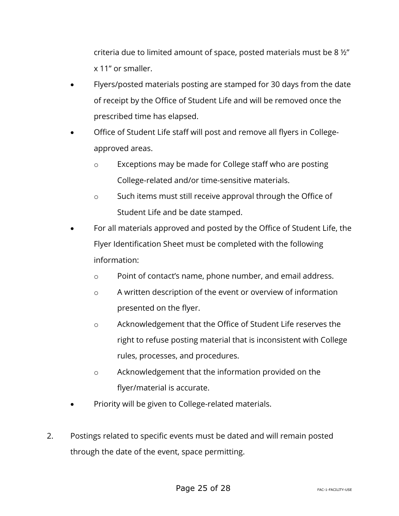criteria due to limited amount of space, posted materials must be 8 ½" x 11" or smaller.

- Flyers/posted materials posting are stamped for 30 days from the date of receipt by the Office of Student Life and will be removed once the prescribed time has elapsed.
- Office of Student Life staff will post and remove all flyers in Collegeapproved areas.
	- o Exceptions may be made for College staff who are posting College-related and/or time-sensitive materials.
	- o Such items must still receive approval through the Office of Student Life and be date stamped.
- For all materials approved and posted by the Office of Student Life, the Flyer Identification Sheet must be completed with the following information:
	- o Point of contact's name, phone number, and email address.
	- o A written description of the event or overview of information presented on the flyer.
	- o Acknowledgement that the Office of Student Life reserves the right to refuse posting material that is inconsistent with College rules, processes, and procedures.
	- o Acknowledgement that the information provided on the flyer/material is accurate.
- Priority will be given to College-related materials.
- 2. Postings related to specific events must be dated and will remain posted through the date of the event, space permitting.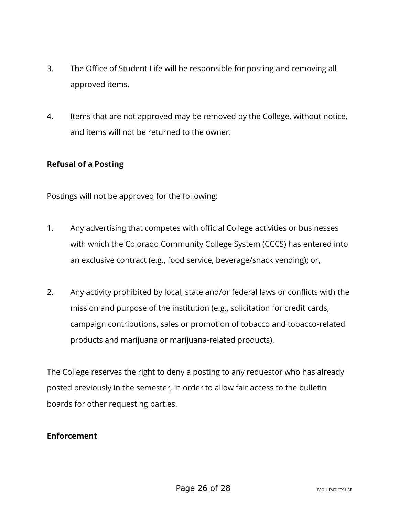- 3. The Office of Student Life will be responsible for posting and removing all approved items.
- 4. Items that are not approved may be removed by the College, without notice, and items will not be returned to the owner.

### **Refusal of a Posting**

Postings will not be approved for the following:

- 1. Any advertising that competes with official College activities or businesses with which the Colorado Community College System (CCCS) has entered into an exclusive contract (e.g., food service, beverage/snack vending); or,
- 2. Any activity prohibited by local, state and/or federal laws or conflicts with the mission and purpose of the institution (e.g., solicitation for credit cards, campaign contributions, sales or promotion of tobacco and tobacco-related products and marijuana or marijuana-related products).

The College reserves the right to deny a posting to any requestor who has already posted previously in the semester, in order to allow fair access to the bulletin boards for other requesting parties.

#### **Enforcement**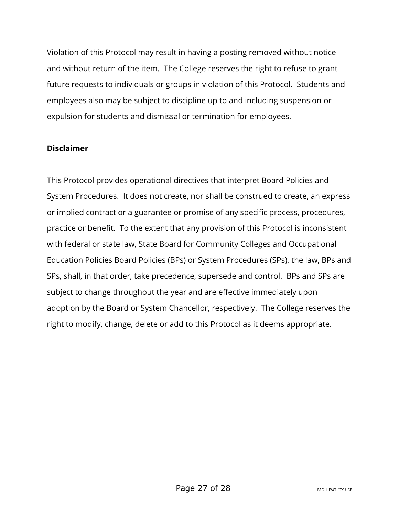Violation of this Protocol may result in having a posting removed without notice and without return of the item. The College reserves the right to refuse to grant future requests to individuals or groups in violation of this Protocol. Students and employees also may be subject to discipline up to and including suspension or expulsion for students and dismissal or termination for employees.

#### **Disclaimer**

This Protocol provides operational directives that interpret Board Policies and System Procedures. It does not create, nor shall be construed to create, an express or implied contract or a guarantee or promise of any specific process, procedures, practice or benefit. To the extent that any provision of this Protocol is inconsistent with federal or state law, State Board for Community Colleges and Occupational Education Policies Board Policies (BPs) or System Procedures (SPs), the law, BPs and SPs, shall, in that order, take precedence, supersede and control. BPs and SPs are subject to change throughout the year and are effective immediately upon adoption by the Board or System Chancellor, respectively. The College reserves the right to modify, change, delete or add to this Protocol as it deems appropriate.